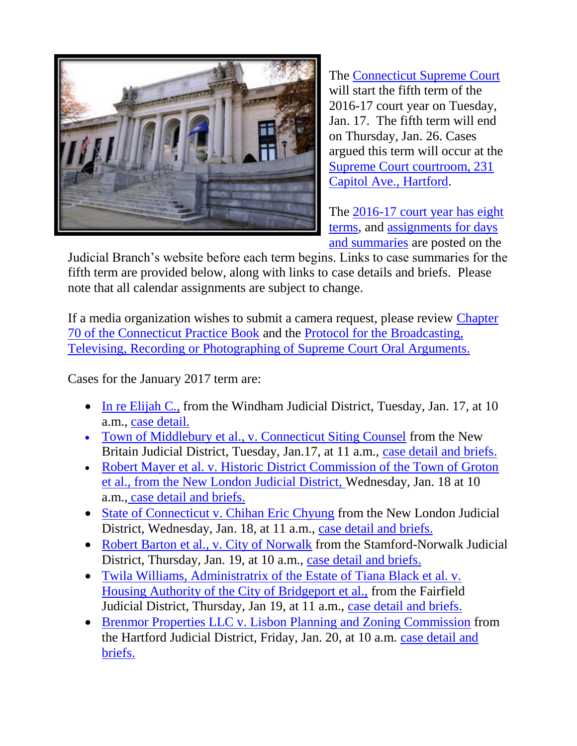

The [Connecticut Supreme Court](http://jud.ct.gov/supremecourt/) will start the fifth term of the 2016-17 court year on Tuesday, Jan. 17. The fifth term will end on Thursday, Jan. 26. Cases argued this term will occur at the [Supreme Court courtroom, 231](http://www.jud.ct.gov/directory/directory/directions/supremecourt.htm)  [Capitol Ave., Hartford.](http://www.jud.ct.gov/directory/directory/directions/supremecourt.htm)

The [2016-17 court year has eight](http://www.jud.ct.gov/external/supapp/CourtTermSup.htm)  [terms,](http://www.jud.ct.gov/external/supapp/CourtTermSup.htm) and [assignments for days](http://www.jud.ct.gov/external/supapp/SupAssign5.pdf)  [and summaries](http://www.jud.ct.gov/external/supapp/SupAssign5.pdf) are posted on the

Judicial Branch's website before each term begins. Links to case summaries for the fifth term are provided below, along with links to case details and briefs. Please note that all calendar assignments are subject to change.

If a media organization wishes to submit a camera request, please review [Chapter](http://www.jud.ct.gov/pb.htm)  [70 of the Connecticut Practice Book](http://www.jud.ct.gov/pb.htm) and the [Protocol for the Broadcasting,](http://www.jud.ct.gov/external/supapp/protocol_sup_oral_argu.htm)  [Televising, Recording or Photographing of Supreme Court Oral Arguments.](http://www.jud.ct.gov/external/supapp/protocol_sup_oral_argu.htm)

Cases for the January 2017 term are:

- [In re Elijah C.,](http://jud.ct.gov/external/supapp/summaries/docket/19695.htm) from the Windham Judicial District, Tuesday, Jan. 17, at 10 a.m., [case detail.](http://appellateinquiry.jud.ct.gov/CaseDetail.aspx?CRN=53949&Type=AppealNo)
- [Town of Middlebury et al., v. Connecticut Siting Counsel](http://jud.ct.gov/external/supapp/summaries/docket/19799.htm) from the New Britain Judicial District, Tuesday, Jan.17, at 11 a.m., [case detail and briefs.](http://appellateinquiry.jud.ct.gov/CaseDetail.aspx?CRN=54808&Type=AppealNo)
- Robert Mayer et al. v. Historic District Commission of the Town of Groton [et al.](http://jud.ct.gov/external/supapp/summaries/docket/19568-19569.htm), from the New London Judicial District, Wednesday, Jan. 18 at 10 a.m., [case detail and briefs.](http://appellateinquiry.jud.ct.gov/CaseDetail.aspx?CRN=52647&Type=AppealNo)
- [State of Connecticut v. Chihan Eric Chyung](http://jud.ct.gov/external/supapp/summaries/docket/19375.htm) from the New London Judicial District, Wednesday, Jan. 18, at 11 a.m., [case detail and briefs.](http://appellateinquiry.jud.ct.gov/CaseDetail.aspx?CRN=50278&Type=AppealNo)
- [Robert Barton et al., v. City of Norwalk](http://jud.ct.gov/external/supapp/summaries/docket/19671.htm) from the Stamford-Norwalk Judicial District, Thursday, Jan. 19, at 10 a.m., [case detail and briefs.](http://appellateinquiry.jud.ct.gov/CaseDetail.aspx?CRN=53648&Type=AppealNo)
- [Twila Williams, Administratrix of the Estate of Tiana Black et al. v.](http://jud.ct.gov/external/supapp/summaries/docket/19570.htm)  [Housing Authority of the City of Bridgeport et al.,](http://jud.ct.gov/external/supapp/summaries/docket/19570.htm) from the Fairfield Judicial District, Thursday, Jan 19, at 11 a.m., [case detail and briefs.](http://appellateinquiry.jud.ct.gov/CaseDetail.aspx?CRN=52654&Type=AppealNo)
- [Brenmor Properties LLC v. Lisbon Planning and Zoning Commission](http://jud.ct.gov/external/supapp/summaries/docket/19665.htm) from the Hartford Judicial District, Friday, Jan. 20, at 10 a.m. [case detail and](http://appellateinquiry.jud.ct.gov/CaseDetail.aspx?CRN=53616&Type=AppealNo)  [briefs.](http://appellateinquiry.jud.ct.gov/CaseDetail.aspx?CRN=53616&Type=AppealNo)